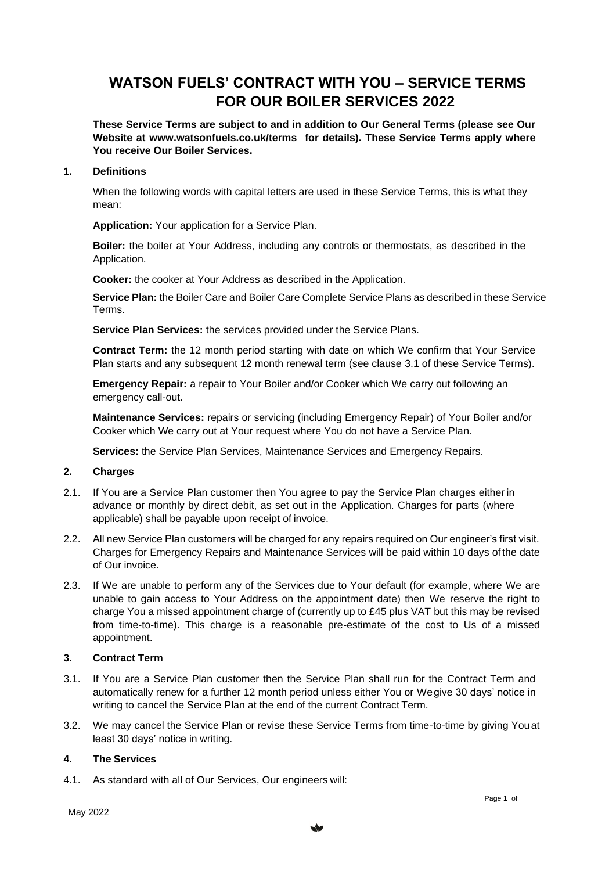# **WATSON FUELS' CONTRACT WITH YOU – SERVICE TERMS FOR OUR BOILER SERVICES 2022**

**These Service Terms are subject to and in addition to Our General Terms (please see Our Website at [www.watsonfuels.co.uk/terms](http://www.watsonfuels.co.uk/terms) for details). These Service Terms apply where You receive Our Boiler Services.**

#### **1. Definitions**

When the following words with capital letters are used in these Service Terms, this is what they mean:

**Application:** Your application for a Service Plan.

**Boiler:** the boiler at Your Address, including any controls or thermostats, as described in the Application.

**Cooker:** the cooker at Your Address as described in the Application.

**Service Plan:** the Boiler Care and Boiler Care Complete Service Plans as described in these Service Terms.

**Service Plan Services:** the services provided under the Service Plans.

**Contract Term:** the 12 month period starting with date on which We confirm that Your Service Plan starts and any subsequent 12 month renewal term (see clause [3.1](#page-0-0) of these Service Terms).

**Emergency Repair:** a repair to Your Boiler and/or Cooker which We carry out following an emergency call-out.

**Maintenance Services:** repairs or servicing (including Emergency Repair) of Your Boiler and/or Cooker which We carry out at Your request where You do not have a Service Plan.

**Services:** the Service Plan Services, Maintenance Services and Emergency Repairs.

## **2. Charges**

- 2.1. If You are a Service Plan customer then You agree to pay the Service Plan charges either in advance or monthly by direct debit, as set out in the Application. Charges for parts (where applicable) shall be payable upon receipt of invoice.
- 2.2. All new Service Plan customers will be charged for any repairs required on Our engineer's first visit. Charges for Emergency Repairs and Maintenance Services will be paid within 10 days of the date of Our invoice.
- 2.3. If We are unable to perform any of the Services due to Your default (for example, where We are unable to gain access to Your Address on the appointment date) then We reserve the right to charge You a missed appointment charge of (currently up to £45 plus VAT but this may be revised from time-to-time). This charge is a reasonable pre-estimate of the cost to Us of a missed appointment.

### **3. Contract Term**

- <span id="page-0-0"></span>3.1. If You are a Service Plan customer then the Service Plan shall run for the Contract Term and automatically renew for a further 12 month period unless either You or Wegive 30 days' notice in writing to cancel the Service Plan at the end of the current Contract Term.
- 3.2. We may cancel the Service Plan or revise these Service Terms from time-to-time by giving Youat least 30 days' notice in writing.

### **4. The Services**

4.1. As standard with all of Our Services, Our engineers will: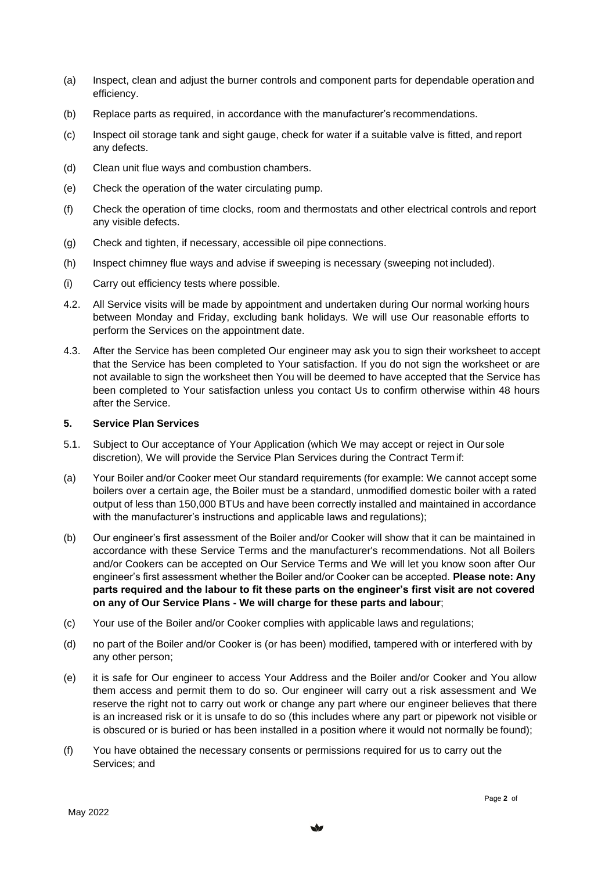- (a) Inspect, clean and adjust the burner controls and component parts for dependable operation and efficiency.
- (b) Replace parts as required, in accordance with the manufacturer's recommendations.
- (c) Inspect oil storage tank and sight gauge, check for water if a suitable valve is fitted, and report any defects.
- (d) Clean unit flue ways and combustion chambers.
- (e) Check the operation of the water circulating pump.
- (f) Check the operation of time clocks, room and thermostats and other electrical controls and report any visible defects.
- (g) Check and tighten, if necessary, accessible oil pipe connections.
- (h) Inspect chimney flue ways and advise if sweeping is necessary (sweeping not included).
- (i) Carry out efficiency tests where possible.
- 4.2. All Service visits will be made by appointment and undertaken during Our normal working hours between Monday and Friday, excluding bank holidays. We will use Our reasonable efforts to perform the Services on the appointment date.
- 4.3. After the Service has been completed Our engineer may ask you to sign their worksheet to accept that the Service has been completed to Your satisfaction. If you do not sign the worksheet or are not available to sign the worksheet then You will be deemed to have accepted that the Service has been completed to Your satisfaction unless you contact Us to confirm otherwise within 48 hours after the Service.

#### **5. Service Plan Services**

- 5.1. Subject to Our acceptance of Your Application (which We may accept or reject in Our sole discretion), We will provide the Service Plan Services during the Contract Term if:
- (a) Your Boiler and/or Cooker meet Our standard requirements (for example: We cannot accept some boilers over a certain age, the Boiler must be a standard, unmodified domestic boiler with a rated output of less than 150,000 BTUs and have been correctly installed and maintained in accordance with the manufacturer's instructions and applicable laws and regulations);
- (b) Our engineer's first assessment of the Boiler and/or Cooker will show that it can be maintained in accordance with these Service Terms and the manufacturer's recommendations. Not all Boilers and/or Cookers can be accepted on Our Service Terms and We will let you know soon after Our engineer's first assessment whether the Boiler and/or Cooker can be accepted. **Please note: Any parts required and the labour to fit these parts on the engineer's first visit are not covered on any of Our Service Plans - We will charge for these parts and labour**;
- (c) Your use of the Boiler and/or Cooker complies with applicable laws and regulations;
- (d) no part of the Boiler and/or Cooker is (or has been) modified, tampered with or interfered with by any other person;
- (e) it is safe for Our engineer to access Your Address and the Boiler and/or Cooker and You allow them access and permit them to do so. Our engineer will carry out a risk assessment and We reserve the right not to carry out work or change any part where our engineer believes that there is an increased risk or it is unsafe to do so (this includes where any part or pipework not visible or is obscured or is buried or has been installed in a position where it would not normally be found);
- (f) You have obtained the necessary consents or permissions required for us to carry out the Services; and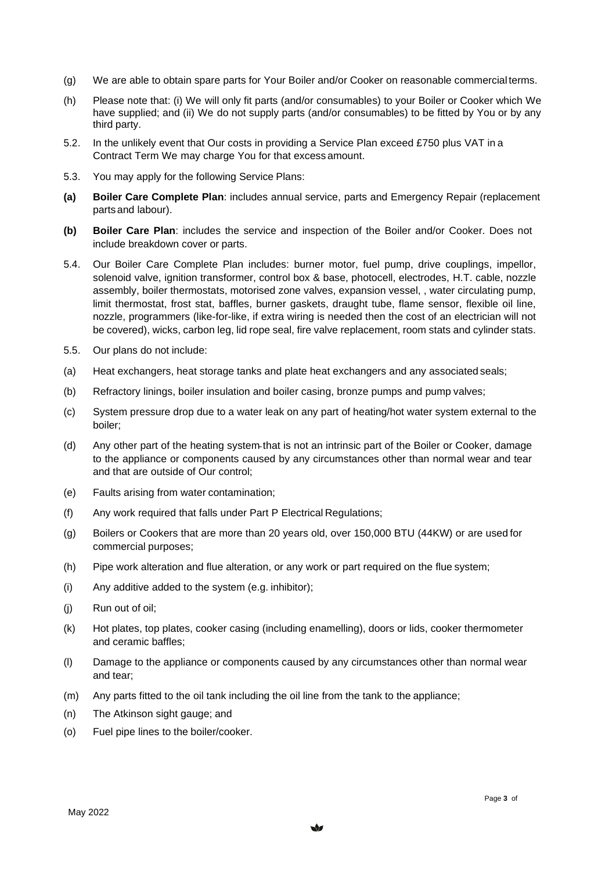- (g) We are able to obtain spare parts for Your Boiler and/or Cooker on reasonable commercial terms.
- (h) Please note that: (i) We will only fit parts (and/or consumables) to your Boiler or Cooker which We have supplied; and (ii) We do not supply parts (and/or consumables) to be fitted by You or by any third party.
- 5.2. In the unlikely event that Our costs in providing a Service Plan exceed £750 plus VAT in a Contract Term We may charge You for that excess amount.
- 5.3. You may apply for the following Service Plans:
- **(a) Boiler Care Complete Plan**: includes annual service, parts and Emergency Repair (replacement parts and labour).
- **(b) Boiler Care Plan**: includes the service and inspection of the Boiler and/or Cooker. Does not include breakdown cover or parts.
- 5.4. Our Boiler Care Complete Plan includes: burner motor, fuel pump, drive couplings, impellor, solenoid valve, ignition transformer, control box & base, photocell, electrodes, H.T. cable, nozzle assembly, boiler thermostats, motorised zone valves, expansion vessel, , water circulating pump, limit thermostat, frost stat, baffles, burner gaskets, draught tube, flame sensor, flexible oil line, nozzle, programmers (like-for-like, if extra wiring is needed then the cost of an electrician will not be covered), wicks, carbon leg, lid rope seal, fire valve replacement, room stats and cylinder stats.
- 5.5. Our plans do not include:
- (a) Heat exchangers, heat storage tanks and plate heat exchangers and any associated seals;
- (b) Refractory linings, boiler insulation and boiler casing, bronze pumps and pump valves;
- (c) System pressure drop due to a water leak on any part of heating/hot water system external to the boiler;
- (d) Any other part of the heating system that is not an intrinsic part of the Boiler or Cooker, damage to the appliance or components caused by any circumstances other than normal wear and tear and that are outside of Our control;
- (e) Faults arising from water contamination;
- (f) Any work required that falls under Part P Electrical Regulations;
- (g) Boilers or Cookers that are more than 20 years old, over 150,000 BTU (44KW) or are used for commercial purposes;
- (h) Pipe work alteration and flue alteration, or any work or part required on the flue system;
- (i) Any additive added to the system (e.g. inhibitor);
- (j) Run out of oil;
- (k) Hot plates, top plates, cooker casing (including enamelling), doors or lids, cooker thermometer and ceramic baffles;
- (l) Damage to the appliance or components caused by any circumstances other than normal wear and tear;
- (m) Any parts fitted to the oil tank including the oil line from the tank to the appliance;
- (n) The Atkinson sight gauge; and
- (o) Fuel pipe lines to the boiler/cooker.